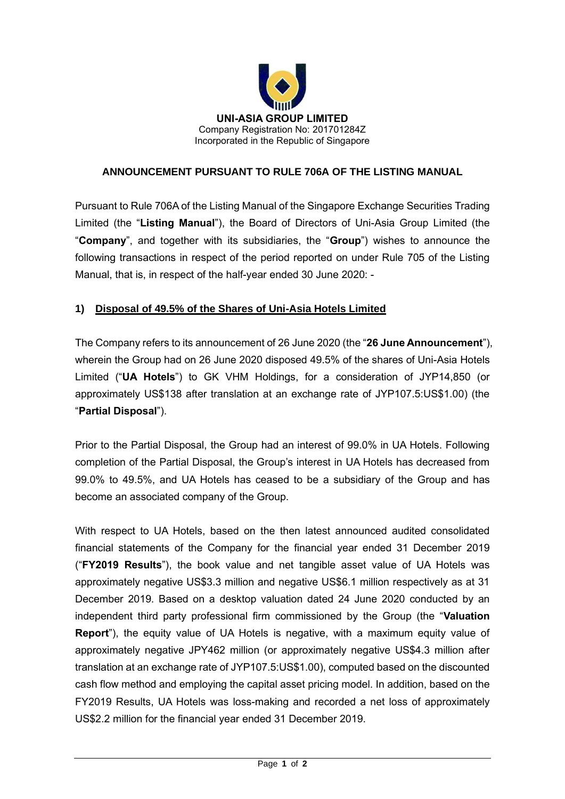

## **ANNOUNCEMENT PURSUANT TO RULE 706A OF THE LISTING MANUAL**

Pursuant to Rule 706A of the Listing Manual of the Singapore Exchange Securities Trading Limited (the "**Listing Manual**"), the Board of Directors of Uni-Asia Group Limited (the "**Company**", and together with its subsidiaries, the "**Group**") wishes to announce the following transactions in respect of the period reported on under Rule 705 of the Listing Manual, that is, in respect of the half-year ended 30 June 2020: -

## **1) Disposal of 49.5% of the Shares of Uni-Asia Hotels Limited**

The Company refers to its announcement of 26 June 2020 (the "**26 June Announcement**"), wherein the Group had on 26 June 2020 disposed 49.5% of the shares of Uni-Asia Hotels Limited ("**UA Hotels**") to GK VHM Holdings, for a consideration of JYP14,850 (or approximately US\$138 after translation at an exchange rate of JYP107.5:US\$1.00) (the "**Partial Disposal**").

Prior to the Partial Disposal, the Group had an interest of 99.0% in UA Hotels. Following completion of the Partial Disposal, the Group's interest in UA Hotels has decreased from 99.0% to 49.5%, and UA Hotels has ceased to be a subsidiary of the Group and has become an associated company of the Group.

With respect to UA Hotels, based on the then latest announced audited consolidated financial statements of the Company for the financial year ended 31 December 2019 ("**FY2019 Results**"), the book value and net tangible asset value of UA Hotels was approximately negative US\$3.3 million and negative US\$6.1 million respectively as at 31 December 2019. Based on a desktop valuation dated 24 June 2020 conducted by an independent third party professional firm commissioned by the Group (the "**Valuation Report**"), the equity value of UA Hotels is negative, with a maximum equity value of approximately negative JPY462 million (or approximately negative US\$4.3 million after translation at an exchange rate of JYP107.5:US\$1.00), computed based on the discounted cash flow method and employing the capital asset pricing model. In addition, based on the FY2019 Results, UA Hotels was loss-making and recorded a net loss of approximately US\$2.2 million for the financial year ended 31 December 2019.